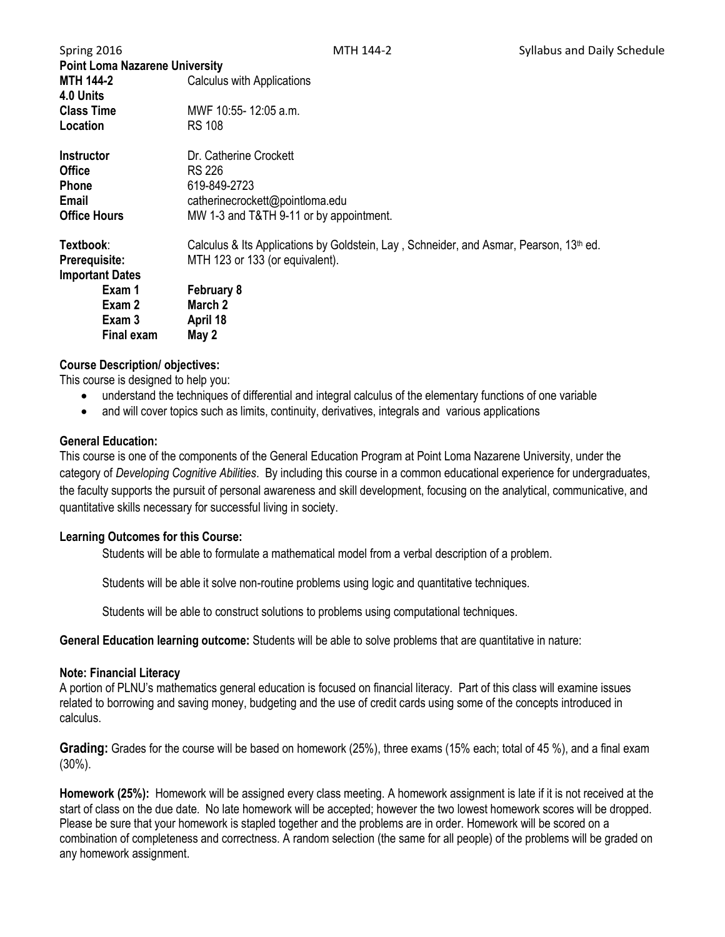| Spring 2016                           | MTH 144-2                                                                                          | Syllabus and Daily Schedule |  |  |
|---------------------------------------|----------------------------------------------------------------------------------------------------|-----------------------------|--|--|
| <b>Point Loma Nazarene University</b> |                                                                                                    |                             |  |  |
| <b>MTH 144-2</b>                      | <b>Calculus with Applications</b>                                                                  |                             |  |  |
| 4.0 Units                             |                                                                                                    |                             |  |  |
| <b>Class Time</b>                     | MWF 10:55-12:05 a.m.                                                                               |                             |  |  |
| Location                              | <b>RS 108</b>                                                                                      |                             |  |  |
| <b>Instructor</b>                     | Dr. Catherine Crockett                                                                             |                             |  |  |
| <b>Office</b>                         | RS 226                                                                                             |                             |  |  |
| <b>Phone</b>                          | 619-849-2723                                                                                       |                             |  |  |
| Email                                 | catherinecrockett@pointloma.edu                                                                    |                             |  |  |
| <b>Office Hours</b>                   | MW 1-3 and T&TH 9-11 or by appointment.                                                            |                             |  |  |
| Textbook:                             | Calculus & Its Applications by Goldstein, Lay, Schneider, and Asmar, Pearson, 13 <sup>th</sup> ed. |                             |  |  |
| <b>Prerequisite:</b>                  | MTH 123 or 133 (or equivalent).                                                                    |                             |  |  |
| <b>Important Dates</b>                |                                                                                                    |                             |  |  |
| Exam 1                                | <b>February 8</b>                                                                                  |                             |  |  |
| Exam 2                                | March 2                                                                                            |                             |  |  |
| Exam 3                                | April 18                                                                                           |                             |  |  |
| <b>Final exam</b>                     | May 2                                                                                              |                             |  |  |

### **Course Description/ objectives:**

This course is designed to help you:

- understand the techniques of differential and integral calculus of the elementary functions of one variable
- and will cover topics such as limits, continuity, derivatives, integrals and various applications

### **General Education:**

This course is one of the components of the General Education Program at Point Loma Nazarene University, under the category of *Developing Cognitive Abilities*. By including this course in a common educational experience for undergraduates, the faculty supports the pursuit of personal awareness and skill development, focusing on the analytical, communicative, and quantitative skills necessary for successful living in society.

### **Learning Outcomes for this Course:**

Students will be able to formulate a mathematical model from a verbal description of a problem.

Students will be able it solve non-routine problems using logic and quantitative techniques.

Students will be able to construct solutions to problems using computational techniques.

**General Education learning outcome:** Students will be able to solve problems that are quantitative in nature:

### **Note: Financial Literacy**

A portion of PLNU's mathematics general education is focused on financial literacy. Part of this class will examine issues related to borrowing and saving money, budgeting and the use of credit cards using some of the concepts introduced in calculus.

**Grading:** Grades for the course will be based on homework (25%), three exams (15% each; total of 45 %), and a final exam (30%).

**Homework (25%):** Homework will be assigned every class meeting. A homework assignment is late if it is not received at the start of class on the due date. No late homework will be accepted; however the two lowest homework scores will be dropped. Please be sure that your homework is stapled together and the problems are in order. Homework will be scored on a combination of completeness and correctness. A random selection (the same for all people) of the problems will be graded on any homework assignment.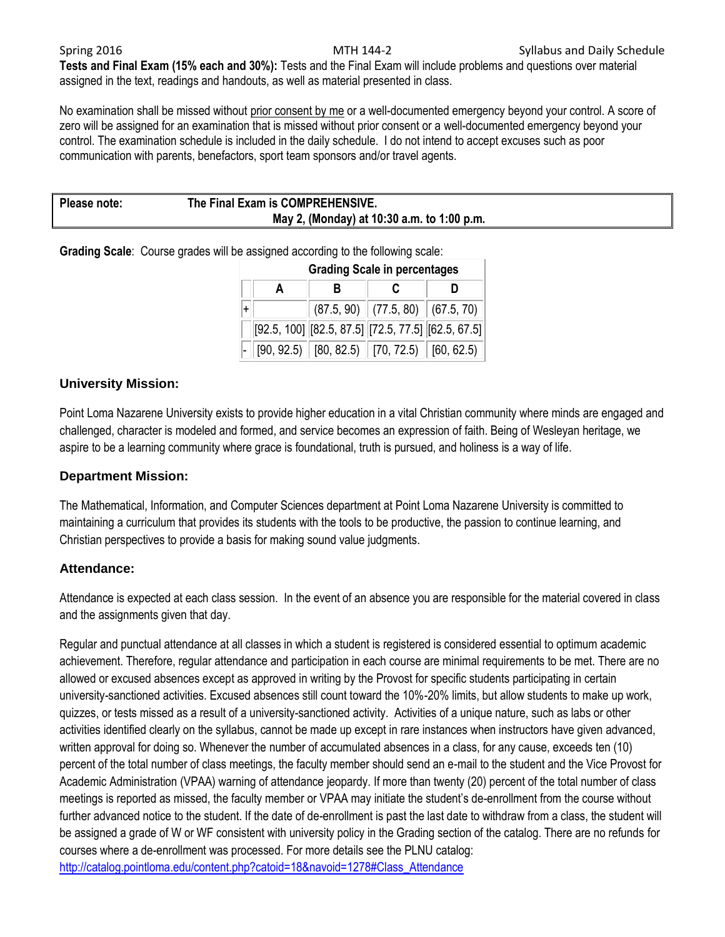**Tests and Final Exam (15% each and 30%):** Tests and the Final Exam will include problems and questions over material assigned in the text, readings and handouts, as well as material presented in class.

No examination shall be missed without prior consent by me or a well-documented emergency beyond your control. A score of zero will be assigned for an examination that is missed without prior consent or a well-documented emergency beyond your control. The examination schedule is included in the daily schedule. I do not intend to accept excuses such as poor communication with parents, benefactors, sport team sponsors and/or travel agents.

| Please note: | The Final Exam is COMPREHENSIVE.           |  |
|--------------|--------------------------------------------|--|
|              | May 2, (Monday) at 10:30 a.m. to 1:00 p.m. |  |

**Grading Scale**: Course grades will be assigned according to the following scale:

| <b>Grading Scale in percentages</b> |  |  |                                                                      |  |  |
|-------------------------------------|--|--|----------------------------------------------------------------------|--|--|
| A                                   |  |  |                                                                      |  |  |
|                                     |  |  | $(87.5, 90)$ $(77.5, 80)$ $(67.5, 70)$                               |  |  |
|                                     |  |  | $[92.5, 100]$ $[82.5, 87.5]$ $[72.5, 77.5]$ $[62.5, 67.5]$           |  |  |
|                                     |  |  | $\ $ [90, 92.5) $\ $ [80, 82.5) $\ $ [70, 72.5) $\ $ [60, 62.5) $\ $ |  |  |

## **University Mission:**

Point Loma Nazarene University exists to provide higher education in a vital Christian community where minds are engaged and challenged, character is modeled and formed, and service becomes an expression of faith. Being of Wesleyan heritage, we aspire to be a learning community where grace is foundational, truth is pursued, and holiness is a way of life.

### **Department Mission:**

The Mathematical, Information, and Computer Sciences department at Point Loma Nazarene University is committed to maintaining a curriculum that provides its students with the tools to be productive, the passion to continue learning, and Christian perspectives to provide a basis for making sound value judgments.

### **Attendance:**

Attendance is expected at each class session. In the event of an absence you are responsible for the material covered in class and the assignments given that day.

Regular and punctual attendance at all classes in which a student is registered is considered essential to optimum academic achievement. Therefore, regular attendance and participation in each course are minimal requirements to be met. There are no allowed or excused absences except as approved in writing by the Provost for specific students participating in certain university-sanctioned activities. Excused absences still count toward the 10%-20% limits, but allow students to make up work, quizzes, or tests missed as a result of a university-sanctioned activity. Activities of a unique nature, such as labs or other activities identified clearly on the syllabus, cannot be made up except in rare instances when instructors have given advanced, written approval for doing so. Whenever the number of accumulated absences in a class, for any cause, exceeds ten (10) percent of the total number of class meetings, the faculty member should send an e-mail to the student and the Vice Provost for Academic Administration (VPAA) warning of attendance jeopardy. If more than twenty (20) percent of the total number of class meetings is reported as missed, the faculty member or VPAA may initiate the student's de-enrollment from the course without further advanced notice to the student. If the date of de-enrollment is past the last date to withdraw from a class, the student will be assigned a grade of W or WF consistent with university policy in the Grading section of the catalog. There are no refunds for courses where a de-enrollment was processed. For more details see the PLNU catalog: [http://catalog.pointloma.edu/content.php?catoid=18&navoid=1278#Class\\_Attendance](http://catalog.pointloma.edu/content.php?catoid=18&navoid=1278#Class_Attendance)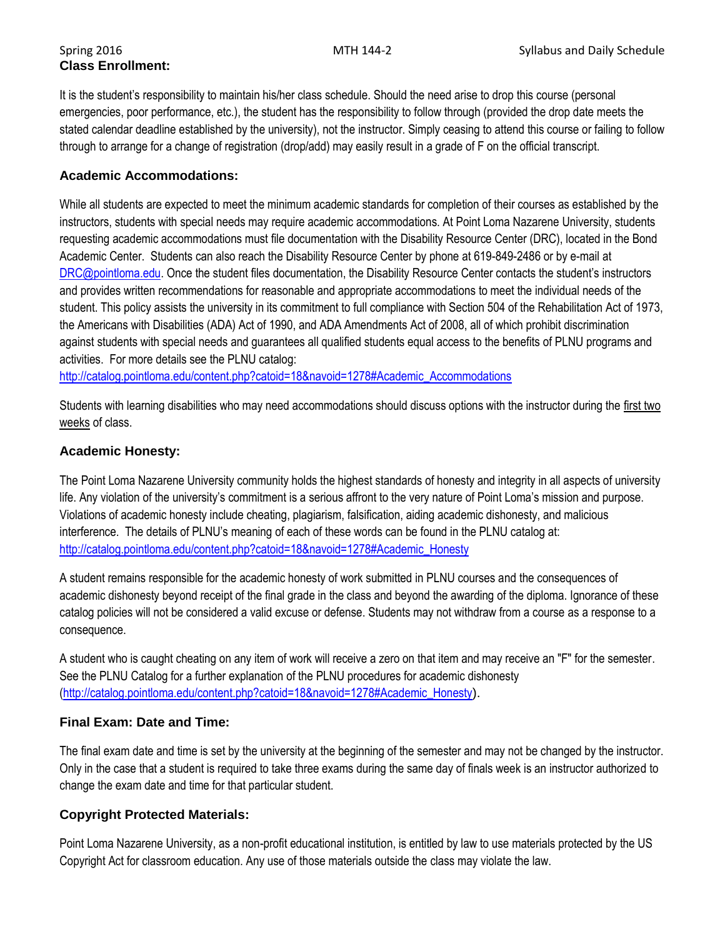# **Class Enrollment:**

It is the student's responsibility to maintain his/her class schedule. Should the need arise to drop this course (personal emergencies, poor performance, etc.), the student has the responsibility to follow through (provided the drop date meets the stated calendar deadline established by the university), not the instructor. Simply ceasing to attend this course or failing to follow through to arrange for a change of registration (drop/add) may easily result in a grade of F on the official transcript.

### **Academic Accommodations:**

While all students are expected to meet the minimum academic standards for completion of their courses as established by the instructors, students with special needs may require academic accommodations. At Point Loma Nazarene University, students requesting academic accommodations must file documentation with the Disability Resource Center (DRC), located in the Bond Academic Center. Students can also reach the Disability Resource Center by phone at 619-849-2486 or by e-mail at [DRC@pointloma.edu](mailto:DRC@pointloma.edu). Once the student files documentation, the Disability Resource Center contacts the student's instructors and provides written recommendations for reasonable and appropriate accommodations to meet the individual needs of the student. This policy assists the university in its commitment to full compliance with Section 504 of the Rehabilitation Act of 1973, the Americans with Disabilities (ADA) Act of 1990, and ADA Amendments Act of 2008, all of which prohibit discrimination against students with special needs and guarantees all qualified students equal access to the benefits of PLNU programs and activities. For more details see the PLNU catalog:

[http://catalog.pointloma.edu/content.php?catoid=18&navoid=1278#Academic\\_Accommodations](http://catalog.pointloma.edu/content.php?catoid=18&navoid=1278#Academic_Accommodations) 

Students with learning disabilities who may need accommodations should discuss options with the instructor during the first two weeks of class.

### **Academic Honesty:**

The Point Loma Nazarene University community holds the highest standards of honesty and integrity in all aspects of university life. Any violation of the university's commitment is a serious affront to the very nature of Point Loma's mission and purpose. Violations of academic honesty include cheating, plagiarism, falsification, aiding academic dishonesty, and malicious interference. The details of PLNU's meaning of each of these words can be found in the PLNU catalog at: [http://catalog.pointloma.edu/content.php?catoid=18&navoid=1278#Academic\\_Honesty](http://catalog.pointloma.edu/content.php?catoid=18&navoid=1278#Academic_Honesty)

A student remains responsible for the academic honesty of work submitted in PLNU courses and the consequences of academic dishonesty beyond receipt of the final grade in the class and beyond the awarding of the diploma. Ignorance of these catalog policies will not be considered a valid excuse or defense. Students may not withdraw from a course as a response to a consequence.

A student who is caught cheating on any item of work will receive a zero on that item and may receive an "F" for the semester. See the PLNU Catalog for a further explanation of the PLNU procedures for academic dishonesty [\(http://catalog.pointloma.edu/content.php?catoid=18&navoid=1278#Academic\\_Honesty](http://catalog.pointloma.edu/content.php?catoid=18&navoid=1278#Academic_Honesty)).

### **Final Exam: Date and Time:**

The final exam date and time is set by the university at the beginning of the semester and may not be changed by the instructor. Only in the case that a student is required to take three exams during the same day of finals week is an instructor authorized to change the exam date and time for that particular student.

### **Copyright Protected Materials:**

Point Loma Nazarene University, as a non-profit educational institution, is entitled by law to use materials protected by the US Copyright Act for classroom education. Any use of those materials outside the class may violate the law.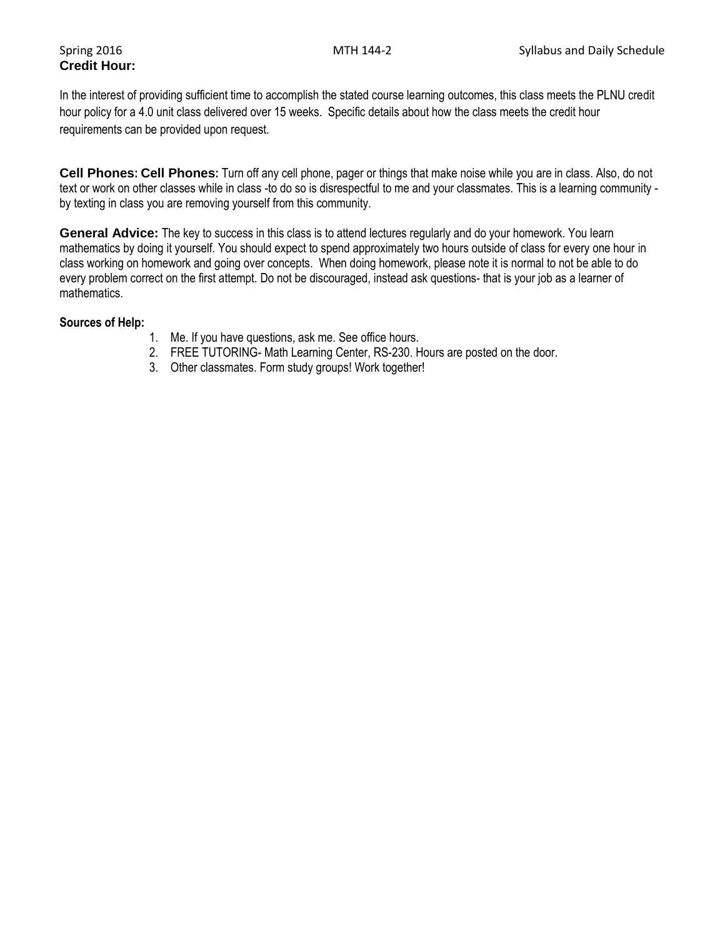# **Credit Hour:**

In the interest of providing sufficient time to accomplish the stated course learning outcomes, this class meets the PLNU credit hour policy for a 4.0 unit class delivered over 15 weeks. Specific details about how the class meets the credit hour requirements can be provided upon request.

**Cell Phones: Cell Phones:** Turn off any cell phone, pager or things that make noise while you are in class. Also, do not text or work on other classes while in class -to do so is disrespectful to me and your classmates. This is a learning community by texting in class you are removing yourself from this community.

**General Advice:** The key to success in this class is to attend lectures regularly and do your homework. You learn mathematics by doing it yourself. You should expect to spend approximately two hours outside of class for every one hour in class working on homework and going over concepts. When doing homework, please note it is normal to not be able to do every problem correct on the first attempt. Do not be discouraged, instead ask questions- that is your job as a learner of mathematics.

### **Sources of Help:**

- 1. Me. If you have questions, ask me. See office hours.
- 2. FREE TUTORING- Math Learning Center, RS-230. Hours are posted on the door.
- 3. Other classmates. Form study groups! Work together!